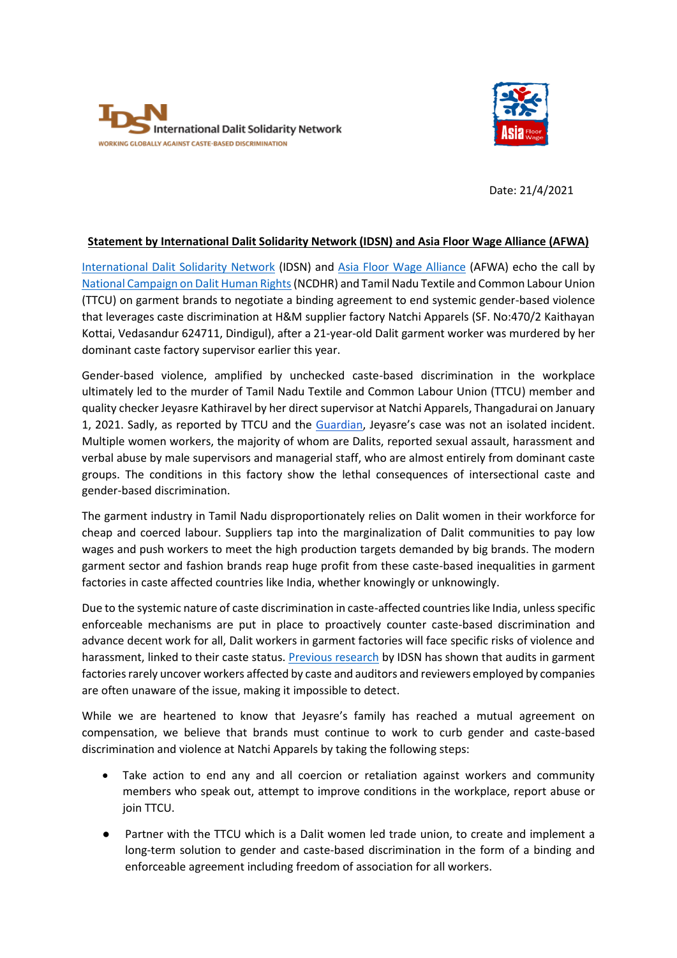



Date: 21/4/2021

## **Statement by International Dalit Solidarity Network (IDSN) and Asia Floor Wage Alliance (AFWA)**

[International Dalit Solidarity Network](https://idsn.org/) (IDSN) and [Asia Floor Wage Alliance](https://asia.floorwage.org/) (AFWA) echo the call by [National Campaign on Dalit Human Rights](http://www.ncdhr.org.in/wp-content/uploads/2021/03/Final_Statement_March-19.pdf)(NCDHR) and Tamil Nadu Textile and Common Labour Union (TTCU) on garment brands to negotiate a binding agreement to end systemic gender-based violence that leverages caste discrimination at H&M supplier factory Natchi Apparels (SF. No:470/2 Kaithayan Kottai, Vedasandur 624711, Dindigul), after a 21-year-old Dalit garment worker was murdered by her dominant caste factory supervisor earlier this year.

Gender-based violence, amplified by unchecked caste-based discrimination in the workplace ultimately led to the murder of Tamil Nadu Textile and Common Labour Union (TTCU) member and quality checker Jeyasre Kathiravel by her direct supervisor at Natchi Apparels, Thangadurai on January 1, 2021. Sadly, as reported by TTCU and the [Guardian](https://www.theguardian.com/global-development/2021/mar/09/female-workers-at-hm-supplier-in-india-allege-widespread-sexual-violence), Jeyasre's case was not an isolated incident. Multiple women workers, the majority of whom are Dalits, reported sexual assault, harassment and verbal abuse by male supervisors and managerial staff, who are almost entirely from dominant caste groups. The conditions in this factory show the lethal consequences of intersectional caste and gender-based discrimination.

The garment industry in Tamil Nadu disproportionately relies on Dalit women in their workforce for cheap and coerced labour. Suppliers tap into the marginalization of Dalit communities to pay low wages and push workers to meet the high production targets demanded by big brands. The modern garment sector and fashion brands reap huge profit from these caste-based inequalities in garment factories in caste affected countries like India, whether knowingly or unknowingly.

Due to the systemic nature of caste discrimination in caste-affected countries like India, unless specific enforceable mechanisms are put in place to proactively counter caste-based discrimination and advance decent work for all, Dalit workers in garment factories will face specific risks of violence and harassment, linked to their caste status[. Previous research](https://www.ethicaltrade.org/sites/default/files/shared_resources/ETI%20Base%20Code%20guidance%2C%20caste%20in%20global%20supply%20chains.pdf) by IDSN has shown that audits in garment factories rarely uncover workers affected by caste and auditors and reviewers employed by companies are often unaware of the issue, making it impossible to detect.

While we are heartened to know that Jeyasre's family has reached a mutual agreement on compensation, we believe that brands must continue to work to curb gender and caste-based discrimination and violence at Natchi Apparels by taking the following steps:

- Take action to end any and all coercion or retaliation against workers and community members who speak out, attempt to improve conditions in the workplace, report abuse or join TTCU.
- Partner with the TTCU which is a Dalit women led trade union, to create and implement a long-term solution to gender and caste-based discrimination in the form of a binding and enforceable agreement including freedom of association for all workers.